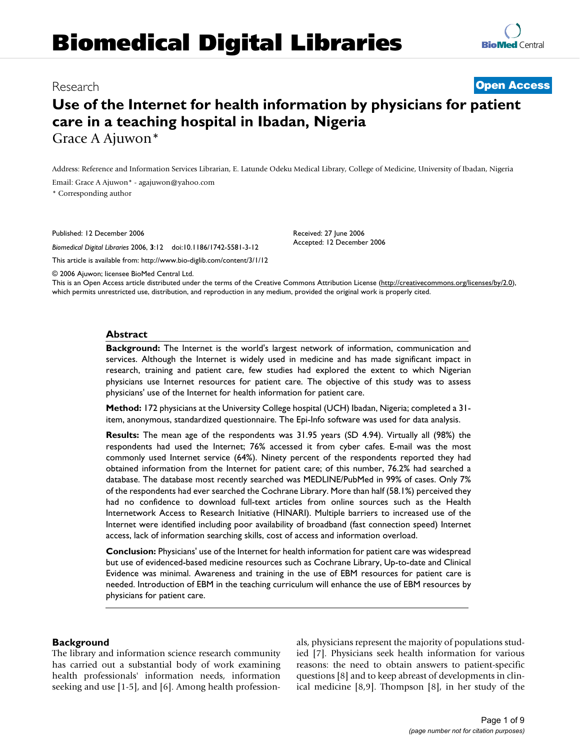# **Biomedical Digital Libraries**

Research **Open Access**

## **Use of the Internet for health information by physicians for patient care in a teaching hospital in Ibadan, Nigeria** Grace A Ajuwon\*

Address: Reference and Information Services Librarian, E. Latunde Odeku Medical Library, College of Medicine, University of Ibadan, Nigeria Email: Grace A Ajuwon\* - agajuwon@yahoo.com

\* Corresponding author

Published: 12 December 2006

*Biomedical Digital Libraries* 2006, **3**:12 doi:10.1186/1742-5581-3-12

This article is available from: http://www.bio-diglib.com/content/3/1/12

© 2006 Ajuwon; licensee BioMed Central Ltd.

This is an Open Access article distributed under the terms of the Creative Commons Attribution License (http://creativecommons.org/licenses/by/2.0), which permits unrestricted use, distribution, and reproduction in any medium, provided the original work is properly cited.

Received: 27 June 2006 Accepted: 12 December 2006

#### **Abstract**

**Background:** The Internet is the world's largest network of information, communication and services. Although the Internet is widely used in medicine and has made significant impact in research, training and patient care, few studies had explored the extent to which Nigerian physicians use Internet resources for patient care. The objective of this study was to assess physicians' use of the Internet for health information for patient care.

**Method:** 172 physicians at the University College hospital (UCH) Ibadan, Nigeria; completed a 31item, anonymous, standardized questionnaire. The Epi-Info software was used for data analysis.

**Results:** The mean age of the respondents was 31.95 years (SD 4.94). Virtually all (98%) the respondents had used the Internet; 76% accessed it from cyber cafes. E-mail was the most commonly used Internet service (64%). Ninety percent of the respondents reported they had obtained information from the Internet for patient care; of this number, 76.2% had searched a database. The database most recently searched was MEDLINE/PubMed in 99% of cases. Only 7% of the respondents had ever searched the Cochrane Library. More than half (58.1%) perceived they had no confidence to download full-text articles from online sources such as the Health Internetwork Access to Research Initiative (HINARI). Multiple barriers to increased use of the Internet were identified including poor availability of broadband (fast connection speed) Internet access, lack of information searching skills, cost of access and information overload.

**Conclusion:** Physicians' use of the Internet for health information for patient care was widespread but use of evidenced-based medicine resources such as Cochrane Library, Up-to-date and Clinical Evidence was minimal. Awareness and training in the use of EBM resources for patient care is needed. Introduction of EBM in the teaching curriculum will enhance the use of EBM resources by physicians for patient care.

#### **Background**

The library and information science research community has carried out a substantial body of work examining health professionals' information needs, information seeking and use [1-5], and [6]. Among health professionals, physicians represent the majority of populations studied [7]. Physicians seek health information for various reasons: the need to obtain answers to patient-specific questions [8] and to keep abreast of developments in clinical medicine [8,9]. Thompson [8], in her study of the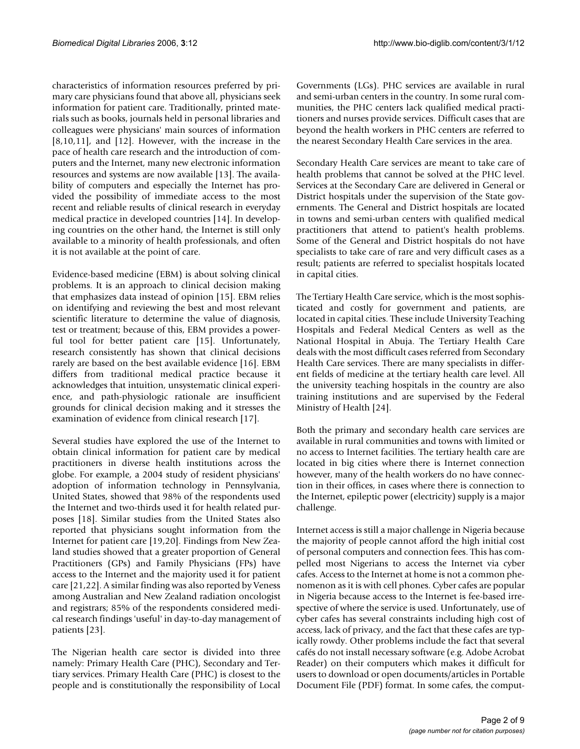characteristics of information resources preferred by primary care physicians found that above all, physicians seek information for patient care. Traditionally, printed materials such as books, journals held in personal libraries and colleagues were physicians' main sources of information  $[8,10,11]$ , and  $[12]$ . However, with the increase in the pace of health care research and the introduction of computers and the Internet, many new electronic information resources and systems are now available [13]. The availability of computers and especially the Internet has provided the possibility of immediate access to the most recent and reliable results of clinical research in everyday medical practice in developed countries [14]. In developing countries on the other hand, the Internet is still only available to a minority of health professionals, and often it is not available at the point of care.

Evidence-based medicine (EBM) is about solving clinical problems. It is an approach to clinical decision making that emphasizes data instead of opinion [15]. EBM relies on identifying and reviewing the best and most relevant scientific literature to determine the value of diagnosis, test or treatment; because of this, EBM provides a powerful tool for better patient care [15]. Unfortunately, research consistently has shown that clinical decisions rarely are based on the best available evidence [16]. EBM differs from traditional medical practice because it acknowledges that intuition, unsystematic clinical experience, and path-physiologic rationale are insufficient grounds for clinical decision making and it stresses the examination of evidence from clinical research [17].

Several studies have explored the use of the Internet to obtain clinical information for patient care by medical practitioners in diverse health institutions across the globe. For example, a 2004 study of resident physicians' adoption of information technology in Pennsylvania, United States, showed that 98% of the respondents used the Internet and two-thirds used it for health related purposes [18]. Similar studies from the United States also reported that physicians sought information from the Internet for patient care [19,20]. Findings from New Zealand studies showed that a greater proportion of General Practitioners (GPs) and Family Physicians (FPs) have access to the Internet and the majority used it for patient care [21,22]. A similar finding was also reported by Veness among Australian and New Zealand radiation oncologist and registrars; 85% of the respondents considered medical research findings 'useful' in day-to-day management of patients [23].

The Nigerian health care sector is divided into three namely: Primary Health Care (PHC), Secondary and Tertiary services. Primary Health Care (PHC) is closest to the people and is constitutionally the responsibility of Local

Governments (LGs). PHC services are available in rural and semi-urban centers in the country. In some rural communities, the PHC centers lack qualified medical practitioners and nurses provide services. Difficult cases that are beyond the health workers in PHC centers are referred to the nearest Secondary Health Care services in the area.

Secondary Health Care services are meant to take care of health problems that cannot be solved at the PHC level. Services at the Secondary Care are delivered in General or District hospitals under the supervision of the State governments. The General and District hospitals are located in towns and semi-urban centers with qualified medical practitioners that attend to patient's health problems. Some of the General and District hospitals do not have specialists to take care of rare and very difficult cases as a result; patients are referred to specialist hospitals located in capital cities.

The Tertiary Health Care service, which is the most sophisticated and costly for government and patients, are located in capital cities. These include University Teaching Hospitals and Federal Medical Centers as well as the National Hospital in Abuja. The Tertiary Health Care deals with the most difficult cases referred from Secondary Health Care services. There are many specialists in different fields of medicine at the tertiary health care level. All the university teaching hospitals in the country are also training institutions and are supervised by the Federal Ministry of Health [24].

Both the primary and secondary health care services are available in rural communities and towns with limited or no access to Internet facilities. The tertiary health care are located in big cities where there is Internet connection however, many of the health workers do no have connection in their offices, in cases where there is connection to the Internet, epileptic power (electricity) supply is a major challenge.

Internet access is still a major challenge in Nigeria because the majority of people cannot afford the high initial cost of personal computers and connection fees. This has compelled most Nigerians to access the Internet via cyber cafes. Access to the Internet at home is not a common phenomenon as it is with cell phones. Cyber cafes are popular in Nigeria because access to the Internet is fee-based irrespective of where the service is used. Unfortunately, use of cyber cafes has several constraints including high cost of access, lack of privacy, and the fact that these cafes are typically rowdy. Other problems include the fact that several cafés do not install necessary software (e.g. Adobe Acrobat Reader) on their computers which makes it difficult for users to download or open documents/articles in Portable Document File (PDF) format. In some cafes, the comput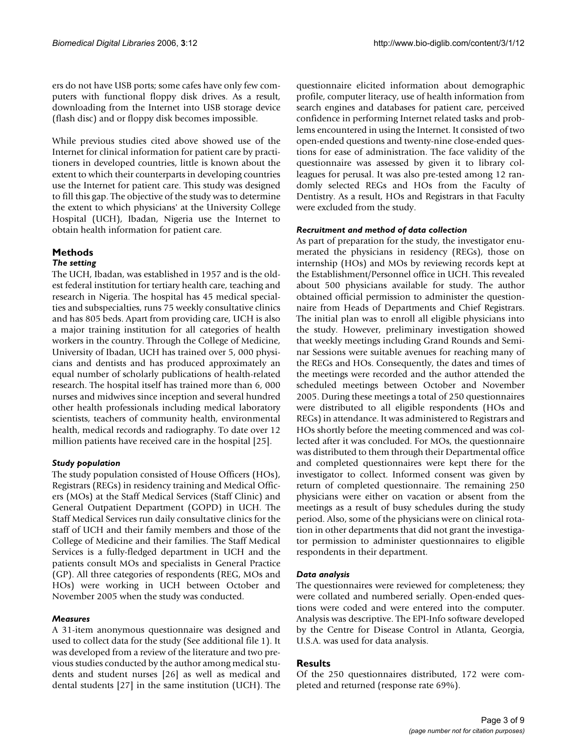ers do not have USB ports; some cafes have only few computers with functional floppy disk drives. As a result, downloading from the Internet into USB storage device (flash disc) and or floppy disk becomes impossible.

While previous studies cited above showed use of the Internet for clinical information for patient care by practitioners in developed countries, little is known about the extent to which their counterparts in developing countries use the Internet for patient care. This study was designed to fill this gap. The objective of the study was to determine the extent to which physicians' at the University College Hospital (UCH), Ibadan, Nigeria use the Internet to obtain health information for patient care.

### **Methods**

#### *The setting*

The UCH, Ibadan, was established in 1957 and is the oldest federal institution for tertiary health care, teaching and research in Nigeria. The hospital has 45 medical specialties and subspecialties, runs 75 weekly consultative clinics and has 805 beds. Apart from providing care, UCH is also a major training institution for all categories of health workers in the country. Through the College of Medicine, University of Ibadan, UCH has trained over 5, 000 physicians and dentists and has produced approximately an equal number of scholarly publications of health-related research. The hospital itself has trained more than 6, 000 nurses and midwives since inception and several hundred other health professionals including medical laboratory scientists, teachers of community health, environmental health, medical records and radiography. To date over 12 million patients have received care in the hospital [25].

#### *Study population*

The study population consisted of House Officers (HOs), Registrars (REGs) in residency training and Medical Officers (MOs) at the Staff Medical Services (Staff Clinic) and General Outpatient Department (GOPD) in UCH. The Staff Medical Services run daily consultative clinics for the staff of UCH and their family members and those of the College of Medicine and their families. The Staff Medical Services is a fully-fledged department in UCH and the patients consult MOs and specialists in General Practice (GP). All three categories of respondents (REG, MOs and HOs) were working in UCH between October and November 2005 when the study was conducted.

#### *Measures*

A 31-item anonymous questionnaire was designed and used to collect data for the study (See additional file 1). It was developed from a review of the literature and two previous studies conducted by the author among medical students and student nurses [26] as well as medical and dental students [27] in the same institution (UCH). The questionnaire elicited information about demographic profile, computer literacy, use of health information from search engines and databases for patient care, perceived confidence in performing Internet related tasks and problems encountered in using the Internet. It consisted of two open-ended questions and twenty-nine close-ended questions for ease of administration. The face validity of the questionnaire was assessed by given it to library colleagues for perusal. It was also pre-tested among 12 randomly selected REGs and HOs from the Faculty of Dentistry. As a result, HOs and Registrars in that Faculty were excluded from the study.

#### *Recruitment and method of data collection*

As part of preparation for the study, the investigator enumerated the physicians in residency (REGs), those on internship (HOs) and MOs by reviewing records kept at the Establishment/Personnel office in UCH. This revealed about 500 physicians available for study. The author obtained official permission to administer the questionnaire from Heads of Departments and Chief Registrars. The initial plan was to enroll all eligible physicians into the study. However, preliminary investigation showed that weekly meetings including Grand Rounds and Seminar Sessions were suitable avenues for reaching many of the REGs and HOs. Consequently, the dates and times of the meetings were recorded and the author attended the scheduled meetings between October and November 2005. During these meetings a total of 250 questionnaires were distributed to all eligible respondents (HOs and REGs) in attendance. It was administered to Registrars and HOs shortly before the meeting commenced and was collected after it was concluded. For MOs, the questionnaire was distributed to them through their Departmental office and completed questionnaires were kept there for the investigator to collect. Informed consent was given by return of completed questionnaire. The remaining 250 physicians were either on vacation or absent from the meetings as a result of busy schedules during the study period. Also, some of the physicians were on clinical rotation in other departments that did not grant the investigator permission to administer questionnaires to eligible respondents in their department.

#### *Data analysis*

The questionnaires were reviewed for completeness; they were collated and numbered serially. Open-ended questions were coded and were entered into the computer. Analysis was descriptive. The EPI-Info software developed by the Centre for Disease Control in Atlanta, Georgia, U.S.A. was used for data analysis.

#### **Results**

Of the 250 questionnaires distributed, 172 were completed and returned (response rate 69%).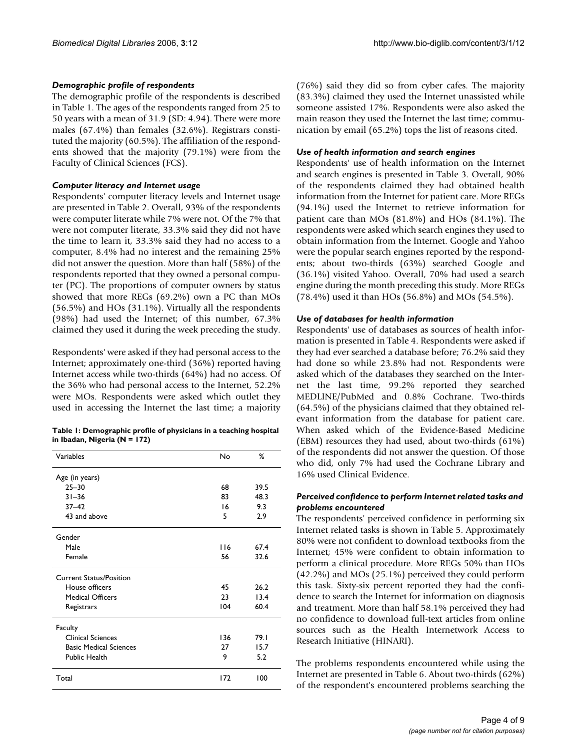#### *Demographic profile of respondents*

The demographic profile of the respondents is described in Table 1. The ages of the respondents ranged from 25 to 50 years with a mean of 31.9 (SD: 4.94). There were more males (67.4%) than females (32.6%). Registrars constituted the majority (60.5%). The affiliation of the respondents showed that the majority (79.1%) were from the Faculty of Clinical Sciences (FCS).

#### *Computer literacy and Internet usage*

Respondents' computer literacy levels and Internet usage are presented in Table 2. Overall, 93% of the respondents were computer literate while 7% were not. Of the 7% that were not computer literate, 33.3% said they did not have the time to learn it, 33.3% said they had no access to a computer, 8.4% had no interest and the remaining 25% did not answer the question. More than half (58%) of the respondents reported that they owned a personal computer (PC). The proportions of computer owners by status showed that more REGs (69.2%) own a PC than MOs (56.5%) and HOs (31.1%). Virtually all the respondents (98%) had used the Internet; of this number, 67.3% claimed they used it during the week preceding the study.

Respondents' were asked if they had personal access to the Internet; approximately one-third (36%) reported having Internet access while two-thirds (64%) had no access. Of the 36% who had personal access to the Internet, 52.2% were MOs. Respondents were asked which outlet they used in accessing the Internet the last time; a majority

| Table 1: Demographic profile of physicians in a teaching hospital |  |
|-------------------------------------------------------------------|--|
| in Ibadan, Nigeria ( $N = 172$ )                                  |  |

| Variables                      | No  | %    |
|--------------------------------|-----|------|
| Age (in years)                 |     |      |
| $25 - 30$                      | 68  | 39.5 |
| $31 - 36$                      | 83  | 48.3 |
| $37 - 42$                      | 16  | 9.3  |
| 43 and above                   | 5   | 2.9  |
| Gender                         |     |      |
| Male                           | 116 | 67.4 |
| Female                         | 56  | 32.6 |
| <b>Current Status/Position</b> |     |      |
| House officers                 | 45  | 26.2 |
| <b>Medical Officers</b>        | 23  | 13.4 |
| Registrars                     | 104 | 60.4 |
| Faculty                        |     |      |
| <b>Clinical Sciences</b>       | 136 | 79.1 |
| <b>Basic Medical Sciences</b>  | 27  | 15.7 |
| <b>Public Health</b>           | 9   | 5.2  |
| Total                          | 172 | 100  |

(76%) said they did so from cyber cafes. The majority (83.3%) claimed they used the Internet unassisted while someone assisted 17%. Respondents were also asked the main reason they used the Internet the last time; communication by email (65.2%) tops the list of reasons cited.

#### *Use of health information and search engines*

Respondents' use of health information on the Internet and search engines is presented in Table 3. Overall, 90% of the respondents claimed they had obtained health information from the Internet for patient care. More REGs (94.1%) used the Internet to retrieve information for patient care than MOs (81.8%) and HOs (84.1%). The respondents were asked which search engines they used to obtain information from the Internet. Google and Yahoo were the popular search engines reported by the respondents; about two-thirds (63%) searched Google and (36.1%) visited Yahoo. Overall, 70% had used a search engine during the month preceding this study. More REGs (78.4%) used it than HOs (56.8%) and MOs (54.5%).

#### *Use of databases for health information*

Respondents' use of databases as sources of health information is presented in Table 4. Respondents were asked if they had ever searched a database before; 76.2% said they had done so while 23.8% had not. Respondents were asked which of the databases they searched on the Internet the last time, 99.2% reported they searched MEDLINE/PubMed and 0.8% Cochrane. Two-thirds (64.5%) of the physicians claimed that they obtained relevant information from the database for patient care. When asked which of the Evidence-Based Medicine (EBM) resources they had used, about two-thirds (61%) of the respondents did not answer the question. Of those who did, only 7% had used the Cochrane Library and 16% used Clinical Evidence.

#### *Perceived confidence to perform Internet related tasks and problems encountered*

The respondents' perceived confidence in performing six Internet related tasks is shown in Table 5. Approximately 80% were not confident to download textbooks from the Internet; 45% were confident to obtain information to perform a clinical procedure. More REGs 50% than HOs (42.2%) and MOs (25.1%) perceived they could perform this task. Sixty-six percent reported they had the confidence to search the Internet for information on diagnosis and treatment. More than half 58.1% perceived they had no confidence to download full-text articles from online sources such as the Health Internetwork Access to Research Initiative (HINARI).

The problems respondents encountered while using the Internet are presented in Table 6. About two-thirds (62%) of the respondent's encountered problems searching the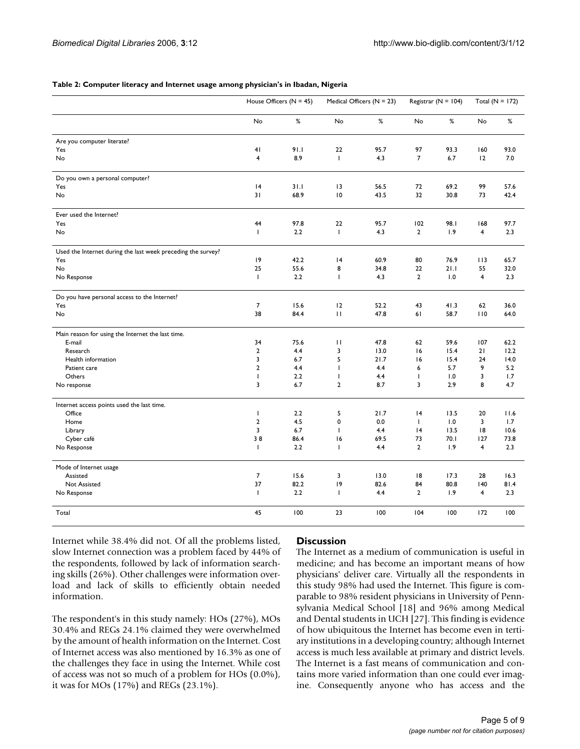#### **Table 2: Computer literacy and Internet usage among physician's in Ibadan, Nigeria**

|                                                              | House Officers ( $N = 45$ ) |      | Medical Officers ( $N = 23$ ) |      | Registrar ( $N = 104$ ) |      | Total ( $N = 172$ ) |      |
|--------------------------------------------------------------|-----------------------------|------|-------------------------------|------|-------------------------|------|---------------------|------|
|                                                              | No                          | %    | No                            | %    | No                      | %    | No                  | $\%$ |
| Are you computer literate?                                   |                             |      |                               |      |                         |      |                     |      |
| Yes                                                          | 41                          | 91.1 | 22                            | 95.7 | 97                      | 93.3 | 160                 | 93.0 |
| No                                                           | $\overline{4}$              | 8.9  | $\mathbf{I}$                  | 4.3  | 7                       | 6.7  | 12                  | 7.0  |
| Do you own a personal computer?                              |                             |      |                               |      |                         |      |                     |      |
| Yes                                                          | 4                           | 31.1 | 13                            | 56.5 | 72                      | 69.2 | 99                  | 57.6 |
| No                                                           | 31                          | 68.9 | 10                            | 43.5 | 32                      | 30.8 | 73                  | 42.4 |
| Ever used the Internet?                                      |                             |      |                               |      |                         |      |                     |      |
| Yes                                                          | 44                          | 97.8 | 22                            | 95.7 | 102                     | 98.I | 168                 | 97.7 |
| No                                                           | $\mathbf{I}$                | 2.2  | $\mathbf{I}$                  | 4.3  | $\overline{2}$          | 1.9  | $\overline{4}$      | 2.3  |
| Used the Internet during the last week preceding the survey? |                             |      |                               |      |                         |      |                     |      |
| Yes                                                          | 9                           | 42.2 | 4                             | 60.9 | 80                      | 76.9 | 113                 | 65.7 |
| No                                                           | 25                          | 55.6 | 8                             | 34.8 | 22                      | 21.1 | 55                  | 32.0 |
| No Response                                                  | $\mathbf{I}$                | 2.2  | J.                            | 4.3  | $\overline{2}$          | 1.0  | 4                   | 2.3  |
| Do you have personal access to the Internet?                 |                             |      |                               |      |                         |      |                     |      |
| Yes                                                          | $\overline{7}$              | 15.6 | 12                            | 52.2 | 43                      | 41.3 | 62                  | 36.0 |
| No                                                           | 38                          | 84.4 | $\mathbf{H}$                  | 47.8 | 61                      | 58.7 | 110                 | 64.0 |
| Main reason for using the Internet the last time.            |                             |      |                               |      |                         |      |                     |      |
| E-mail                                                       | 34                          | 75.6 | $\mathbf{H}$                  | 47.8 | 62                      | 59.6 | 107                 | 62.2 |
| Research                                                     | $\overline{2}$              | 4.4  | 3                             | 13.0 | 16                      | 15.4 | 21                  | 12.2 |
| Health information                                           | 3                           | 6.7  | 5                             | 21.7 | 16                      | 15.4 | 24                  | 14.0 |
| Patient care                                                 | $\overline{2}$              | 4.4  | ı                             | 4.4  | 6                       | 5.7  | 9                   | 5.2  |
| Others                                                       | т                           | 2.2  | ı                             | 4.4  |                         | 1.0  | 3                   | 1.7  |
| No response                                                  | 3                           | 6.7  | $\overline{\mathbf{c}}$       | 8.7  | 3                       | 2.9  | 8                   | 4.7  |
| Internet access points used the last time.                   |                             |      |                               |      |                         |      |                     |      |
| Office                                                       | T                           | 2.2  | 5                             | 21.7 | 4                       | 13.5 | 20                  | 11.6 |
| Home                                                         | $\overline{2}$              | 4.5  | 0                             | 0.0  | $\overline{1}$          | 1.0  | 3                   | 1.7  |
| Library                                                      | 3                           | 6.7  | $\mathbf{I}$                  | 4.4  | 4                       | 13.5 | 18                  | 10.6 |
| Cyber café                                                   | 38                          | 86.4 | 16                            | 69.5 | 73                      | 70.I | 127                 | 73.8 |
| No Response                                                  | $\mathbf{I}$                | 2.2  | $\mathbf{I}$                  | 4.4  | $\overline{2}$          | 1.9  | $\overline{4}$      | 2.3  |
| Mode of Internet usage                                       |                             |      |                               |      |                         |      |                     |      |
| Assisted                                                     | $\overline{7}$              | 15.6 | 3                             | 13.0 | 18                      | 17.3 | 28                  | 16.3 |
| Not Assisted                                                 | 37                          | 82.2 | 9                             | 82.6 | 84                      | 80.8 | 140                 | 81.4 |
| No Response                                                  | $\mathbf{I}$                | 2.2  | $\mathbf{I}$                  | 4.4  | $\overline{2}$          | 1.9  | $\overline{4}$      | 2.3  |
| Total                                                        | 45                          | 100  | 23                            | 100  | 104                     | 100  | 172                 | 100  |

Internet while 38.4% did not. Of all the problems listed, slow Internet connection was a problem faced by 44% of the respondents, followed by lack of information searching skills (26%). Other challenges were information overload and lack of skills to efficiently obtain needed information.

The respondent's in this study namely: HOs (27%), MOs 30.4% and REGs 24.1% claimed they were overwhelmed by the amount of health information on the Internet. Cost of Internet access was also mentioned by 16.3% as one of the challenges they face in using the Internet. While cost of access was not so much of a problem for HOs (0.0%), it was for MOs (17%) and REGs (23.1%).

#### **Discussion**

The Internet as a medium of communication is useful in medicine; and has become an important means of how physicians' deliver care. Virtually all the respondents in this study 98% had used the Internet. This figure is comparable to 98% resident physicians in University of Pennsylvania Medical School [18] and 96% among Medical and Dental students in UCH [27]. This finding is evidence of how ubiquitous the Internet has become even in tertiary institutions in a developing country; although Internet access is much less available at primary and district levels. The Internet is a fast means of communication and contains more varied information than one could ever imagine. Consequently anyone who has access and the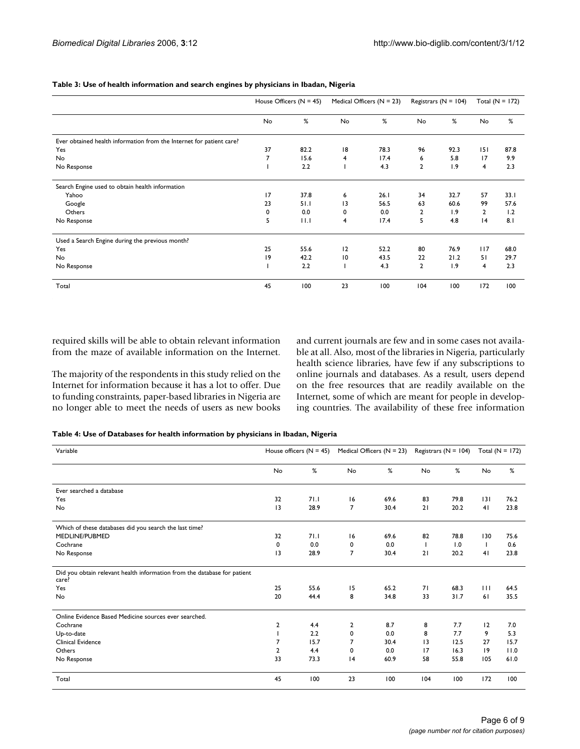|                                                                      | House Officers $(N = 45)$ |      | Medical Officers ( $N = 23$ ) |      | Registrars ( $N = 104$ ) |      | Total $(N = 172)$ |      |
|----------------------------------------------------------------------|---------------------------|------|-------------------------------|------|--------------------------|------|-------------------|------|
|                                                                      | No                        | %    | No                            | %    | No                       | %    | No                | %    |
| Ever obtained health information from the Internet for patient care? |                           |      |                               |      |                          |      |                   |      |
| Yes                                                                  | 37                        | 82.2 | 18                            | 78.3 | 96                       | 92.3 | 151               | 87.8 |
| No                                                                   | 7                         | 15.6 | $\overline{4}$                | 17.4 | 6                        | 5.8  | 17                | 9.9  |
| No Response                                                          |                           | 2.2  |                               | 4.3  | $\mathbf{2}$             | 1.9  | 4                 | 2.3  |
| Search Engine used to obtain health information                      |                           |      |                               |      |                          |      |                   |      |
| Yahoo                                                                | 17                        | 37.8 | 6                             | 26.1 | 34                       | 32.7 | 57                | 33.1 |
| Google                                                               | 23                        | 51.1 | 3                             | 56.5 | 63                       | 60.6 | 99                | 57.6 |
| Others                                                               | 0                         | 0.0  | 0                             | 0.0  | $\overline{2}$           | 1.9  | $\overline{2}$    | 1.2  |
| No Response                                                          | 5                         | 11.1 | $\overline{4}$                | 17.4 | 5                        | 4.8  | 4                 | 8.1  |
| Used a Search Engine during the previous month?                      |                           |      |                               |      |                          |      |                   |      |
| Yes                                                                  | 25                        | 55.6 | 12                            | 52.2 | 80                       | 76.9 | 117               | 68.0 |
| No                                                                   | 9                         | 42.2 | 10                            | 43.5 | 22                       | 21.2 | 51                | 29.7 |
| No Response                                                          |                           | 2.2  |                               | 4.3  | $\mathbf{2}$             | 1.9  | $\overline{4}$    | 2.3  |
| Total                                                                | 45                        | 100  | 23                            | 100  | 104                      | 100  | 172               | 100  |

#### **Table 3: Use of health information and search engines by physicians in Ibadan, Nigeria**

required skills will be able to obtain relevant information from the maze of available information on the Internet.

The majority of the respondents in this study relied on the Internet for information because it has a lot to offer. Due to funding constraints, paper-based libraries in Nigeria are no longer able to meet the needs of users as new books and current journals are few and in some cases not available at all. Also, most of the libraries in Nigeria, particularly health science libraries, have few if any subscriptions to online journals and databases. As a result, users depend on the free resources that are readily available on the Internet, some of which are meant for people in developing countries. The availability of these free information

|  |  | Table 4: Use of Databases for health information by physicians in Ibadan, Nigeria |  |  |
|--|--|-----------------------------------------------------------------------------------|--|--|
|  |  |                                                                                   |  |  |

| Variable                                                                          | House officers $(N = 45)$ |      | Medical Officers $(N = 23)$ |      | Registrars ( $N = 104$ ) |      | Total $(N = 172)$ |      |
|-----------------------------------------------------------------------------------|---------------------------|------|-----------------------------|------|--------------------------|------|-------------------|------|
|                                                                                   | No                        | %    | No                          | %    | <b>No</b>                | %    | No                | %    |
| Ever searched a database                                                          |                           |      |                             |      |                          |      |                   |      |
| Yes                                                                               | 32                        | 71.1 | 16                          | 69.6 | 83                       | 79.8 | 3                 | 76.2 |
| No                                                                                | 3                         | 28.9 | $\overline{7}$              | 30.4 | 21                       | 20.2 | 41                | 23.8 |
| Which of these databases did you search the last time?                            |                           |      |                             |      |                          |      |                   |      |
| MEDLINE/PUBMED                                                                    | 32                        | 71.1 | 16                          | 69.6 | 82                       | 78.8 | 130               | 75.6 |
| Cochrane                                                                          | 0                         | 0.0  | 0                           | 0.0  | $\mathbf{I}$             | 1.0  | т.                | 0.6  |
| No Response                                                                       | 3                         | 28.9 | $\overline{7}$              | 30.4 | 21                       | 20.2 | 41                | 23.8 |
| Did you obtain relevant health information from the database for patient<br>care? |                           |      |                             |      |                          |      |                   |      |
| Yes                                                                               | 25                        | 55.6 | 15                          | 65.2 | 71                       | 68.3 | 111               | 64.5 |
| No                                                                                | 20                        | 44.4 | 8                           | 34.8 | 33                       | 31.7 | 61                | 35.5 |
| Online Evidence Based Medicine sources ever searched.                             |                           |      |                             |      |                          |      |                   |      |
| Cochrane                                                                          | 2                         | 4.4  | 2                           | 8.7  | 8                        | 7.7  | 12                | 7.0  |
| Up-to-date                                                                        |                           | 2.2  | 0                           | 0.0  | 8                        | 7.7  | 9                 | 5.3  |
| <b>Clinical Evidence</b>                                                          |                           | 15.7 | 7                           | 30.4 | $\overline{13}$          | 12.5 | 27                | 15.7 |
| Others                                                                            | $\overline{2}$            | 4.4  | 0                           | 0.0  | 17                       | 16.3 | 9                 | 11.0 |
| No Response                                                                       | 33                        | 73.3 | 4                           | 60.9 | 58                       | 55.8 | 105               | 61.0 |
| Total                                                                             | 45                        | 100  | 23                          | 100  | 104                      | 100  | 172               | 100  |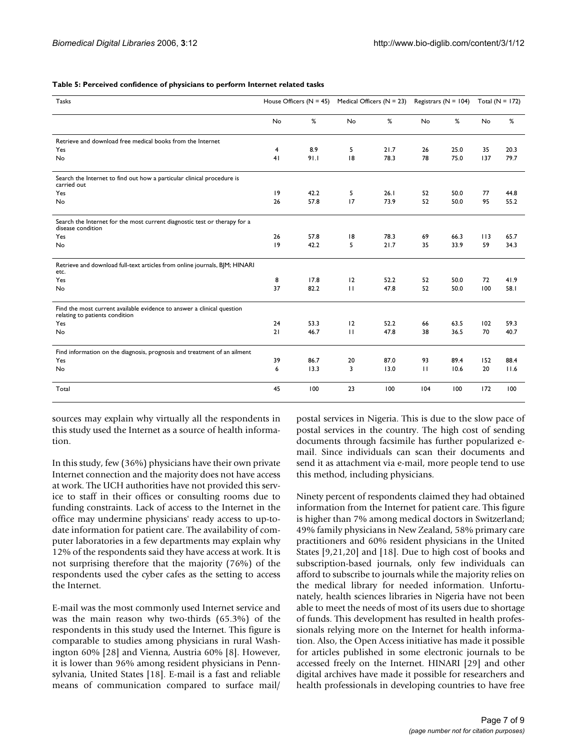| Tasks                                                                                                    | House Officers $(N = 45)$ |      | Medical Officers $(N = 23)$ |      | Registrars ( $N = 104$ ) |      | Total $(N = 172)$ |      |
|----------------------------------------------------------------------------------------------------------|---------------------------|------|-----------------------------|------|--------------------------|------|-------------------|------|
|                                                                                                          | No                        | %    | No                          | %    | No                       | %    | No                | %    |
| Retrieve and download free medical books from the Internet                                               |                           |      |                             |      |                          |      |                   |      |
| Yes                                                                                                      | 4                         | 8.9  | 5                           | 21.7 | 26                       | 25.0 | 35                | 20.3 |
| <b>No</b>                                                                                                | 41                        | 91.1 | 8                           | 78.3 | 78                       | 75.0 | 137               | 79.7 |
| Search the Internet to find out how a particular clinical procedure is<br>carried out                    |                           |      |                             |      |                          |      |                   |      |
| Yes                                                                                                      | 19                        | 42.2 | 5                           | 26.1 | 52                       | 50.0 | 77                | 44.8 |
| No                                                                                                       | 26                        | 57.8 | 17                          | 73.9 | 52                       | 50.0 | 95                | 55.2 |
| Search the Internet for the most current diagnostic test or therapy for a<br>disease condition           |                           |      |                             |      |                          |      |                   |      |
| Yes                                                                                                      | 26                        | 57.8 | 8                           | 78.3 | 69                       | 66.3 | 113               | 65.7 |
| No                                                                                                       | 19                        | 42.2 | 5                           | 21.7 | 35                       | 33.9 | 59                | 34.3 |
| Retrieve and download full-text articles from online journals, BJM; HINARI<br>etc.                       |                           |      |                             |      |                          |      |                   |      |
| Yes                                                                                                      | 8                         | 17.8 | 12                          | 52.2 | 52                       | 50.0 | 72                | 41.9 |
| No                                                                                                       | 37                        | 82.2 | $\mathbf{H}$                | 47.8 | 52                       | 50.0 | 100               | 58.1 |
| Find the most current available evidence to answer a clinical question<br>relating to patients condition |                           |      |                             |      |                          |      |                   |      |
| Yes                                                                                                      | 24                        | 53.3 | 12                          | 52.2 | 66                       | 63.5 | 102               | 59.3 |
| No                                                                                                       | 21                        | 46.7 | $\mathbf{H}$                | 47.8 | 38                       | 36.5 | 70                | 40.7 |
| Find information on the diagnosis, prognosis and treatment of an ailment                                 |                           |      |                             |      |                          |      |                   |      |
| Yes                                                                                                      | 39                        | 86.7 | 20                          | 87.0 | 93                       | 89.4 | 152               | 88.4 |
| No                                                                                                       | 6                         | 13.3 | 3                           | 13.0 | $\mathbf{H}$             | 10.6 | 20                | 11.6 |
| Total                                                                                                    | 45                        | 100  | 23                          | 100  | 104                      | 100  | 172               | 100  |

sources may explain why virtually all the respondents in this study used the Internet as a source of health information.

In this study, few (36%) physicians have their own private Internet connection and the majority does not have access at work. The UCH authorities have not provided this service to staff in their offices or consulting rooms due to funding constraints. Lack of access to the Internet in the office may undermine physicians' ready access to up-todate information for patient care. The availability of computer laboratories in a few departments may explain why 12% of the respondents said they have access at work. It is not surprising therefore that the majority (76%) of the respondents used the cyber cafes as the setting to access the Internet.

E-mail was the most commonly used Internet service and was the main reason why two-thirds (65.3%) of the respondents in this study used the Internet. This figure is comparable to studies among physicians in rural Washington 60% [28] and Vienna, Austria 60% [8]. However, it is lower than 96% among resident physicians in Pennsylvania, United States [18]. E-mail is a fast and reliable means of communication compared to surface mail/

postal services in Nigeria. This is due to the slow pace of postal services in the country. The high cost of sending documents through facsimile has further popularized email. Since individuals can scan their documents and send it as attachment via e-mail, more people tend to use this method, including physicians.

Ninety percent of respondents claimed they had obtained information from the Internet for patient care. This figure is higher than 7% among medical doctors in Switzerland; 49% family physicians in New Zealand, 58% primary care practitioners and 60% resident physicians in the United States [9,21,20] and [18]. Due to high cost of books and subscription-based journals, only few individuals can afford to subscribe to journals while the majority relies on the medical library for needed information. Unfortunately, health sciences libraries in Nigeria have not been able to meet the needs of most of its users due to shortage of funds. This development has resulted in health professionals relying more on the Internet for health information. Also, the Open Access initiative has made it possible for articles published in some electronic journals to be accessed freely on the Internet. HINARI [29] and other digital archives have made it possible for researchers and health professionals in developing countries to have free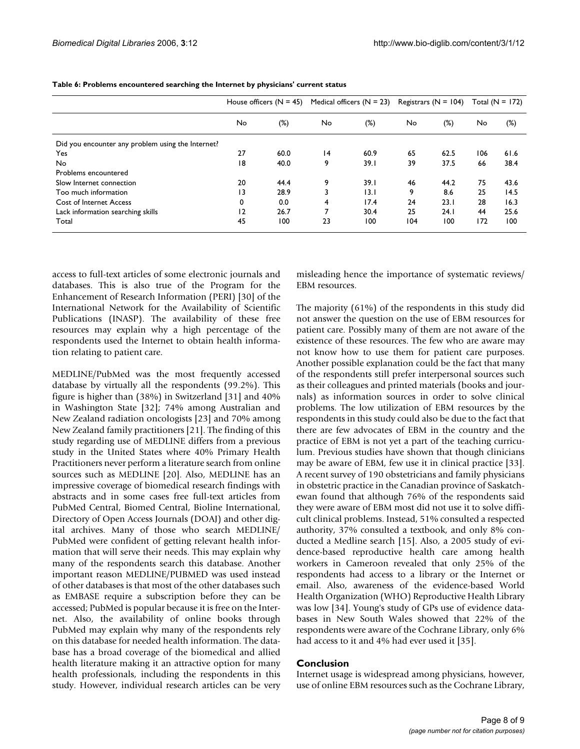|                                                   | House officers $(N = 45)$ |        | Medical officers $(N = 23)$ |      | Registrars ( $N = 104$ ) |      | Total $(N = 172)$ |      |
|---------------------------------------------------|---------------------------|--------|-----------------------------|------|--------------------------|------|-------------------|------|
|                                                   | No                        | $(\%)$ | No                          | (%)  | No                       | (%)  | No.               | (%)  |
| Did you encounter any problem using the Internet? |                           |        |                             |      |                          |      |                   |      |
| Yes                                               | 27                        | 60.0   | 4                           | 60.9 | 65                       | 62.5 | 106               | 61.6 |
| No                                                | 18                        | 40.0   | 9                           | 39.1 | 39                       | 37.5 | 66                | 38.4 |
| Problems encountered                              |                           |        |                             |      |                          |      |                   |      |
| Slow Internet connection                          | 20                        | 44.4   | 9                           | 39.1 | 46                       | 44.2 | 75                | 43.6 |
| Too much information                              | 13                        | 28.9   |                             | 13.1 | 9                        | 8.6  | 25                | 14.5 |
| <b>Cost of Internet Access</b>                    | 0                         | 0.0    | 4                           | 17.4 | 24                       | 23.1 | 28                | 16.3 |
| Lack information searching skills                 | 12                        | 26.7   |                             | 30.4 | 25                       | 24.1 | 44                | 25.6 |
| Total                                             | 45                        | 100    | 23                          | 100  | 104                      | 100  | 172               | 100  |

**Table 6: Problems encountered searching the Internet by physicians' current status**

access to full-text articles of some electronic journals and databases. This is also true of the Program for the Enhancement of Research Information (PERI) [30] of the International Network for the Availability of Scientific Publications (INASP). The availability of these free resources may explain why a high percentage of the respondents used the Internet to obtain health information relating to patient care.

MEDLINE/PubMed was the most frequently accessed database by virtually all the respondents (99.2%). This figure is higher than (38%) in Switzerland [31] and 40% in Washington State [32]; 74% among Australian and New Zealand radiation oncologists [23] and 70% among New Zealand family practitioners [21]. The finding of this study regarding use of MEDLINE differs from a previous study in the United States where 40% Primary Health Practitioners never perform a literature search from online sources such as MEDLINE [20]. Also, MEDLINE has an impressive coverage of biomedical research findings with abstracts and in some cases free full-text articles from PubMed Central, Biomed Central, Bioline International, Directory of Open Access Journals (DOAJ) and other digital archives. Many of those who search MEDLINE/ PubMed were confident of getting relevant health information that will serve their needs. This may explain why many of the respondents search this database. Another important reason MEDLINE/PUBMED was used instead of other databases is that most of the other databases such as EMBASE require a subscription before they can be accessed; PubMed is popular because it is free on the Internet. Also, the availability of online books through PubMed may explain why many of the respondents rely on this database for needed health information. The database has a broad coverage of the biomedical and allied health literature making it an attractive option for many health professionals, including the respondents in this study. However, individual research articles can be very

misleading hence the importance of systematic reviews/ EBM resources.

The majority (61%) of the respondents in this study did not answer the question on the use of EBM resources for patient care. Possibly many of them are not aware of the existence of these resources. The few who are aware may not know how to use them for patient care purposes. Another possible explanation could be the fact that many of the respondents still prefer interpersonal sources such as their colleagues and printed materials (books and journals) as information sources in order to solve clinical problems. The low utilization of EBM resources by the respondents in this study could also be due to the fact that there are few advocates of EBM in the country and the practice of EBM is not yet a part of the teaching curriculum. Previous studies have shown that though clinicians may be aware of EBM, few use it in clinical practice [33]. A recent survey of 190 obstetricians and family physicians in obstetric practice in the Canadian province of Saskatchewan found that although 76% of the respondents said they were aware of EBM most did not use it to solve difficult clinical problems. Instead, 51% consulted a respected authority, 37% consulted a textbook, and only 8% conducted a Medline search [15]. Also, a 2005 study of evidence-based reproductive health care among health workers in Cameroon revealed that only 25% of the respondents had access to a library or the Internet or email. Also, awareness of the evidence-based World Health Organization (WHO) Reproductive Health Library was low [34]. Young's study of GPs use of evidence databases in New South Wales showed that 22% of the respondents were aware of the Cochrane Library, only 6% had access to it and 4% had ever used it [35].

#### **Conclusion**

Internet usage is widespread among physicians, however, use of online EBM resources such as the Cochrane Library,